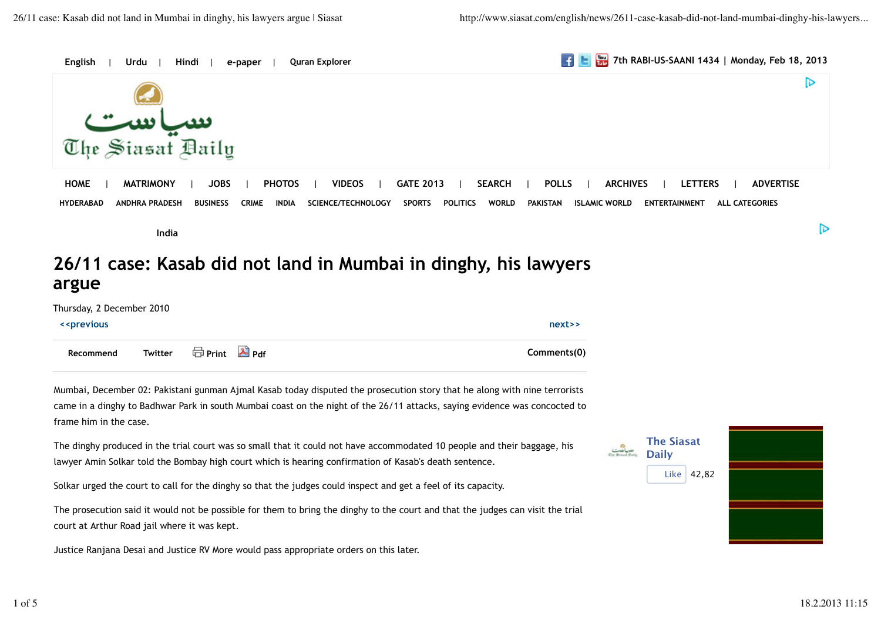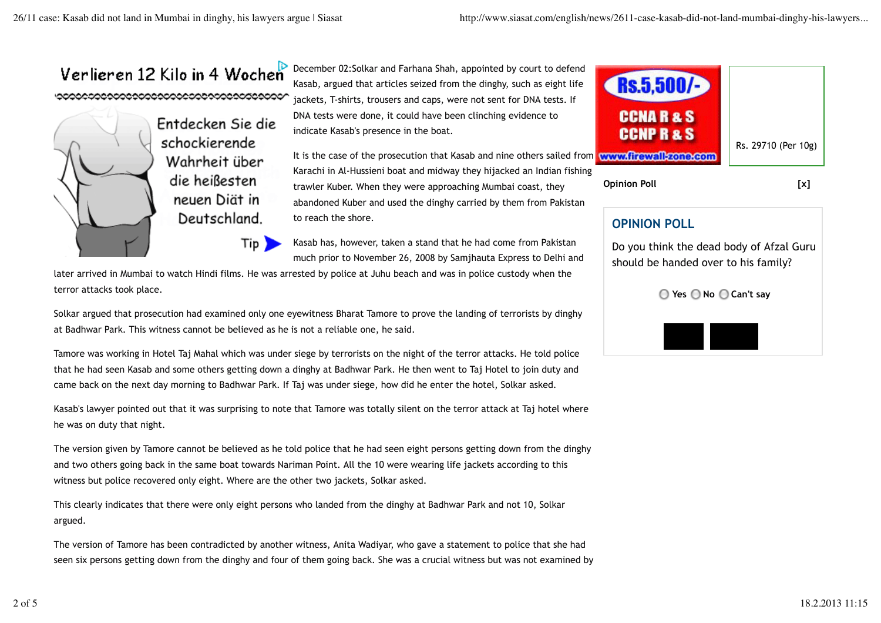

later arrived in Mumbai to watch Hindi films. He was arrested by police at Juhu beach and was in police custody when the terror attacks took place.

Solkar argued that prosecution had examined only one eyewitness Bharat Tamore to prove the landing of terrorists by dinghy at Badhwar Park. This witness cannot be believed as he is not a reliable one, he said.

Tamore was working in Hotel Taj Mahal which was under siege by terrorists on the night of the terror attacks. He told police that he had seen Kasab and some others getting down a dinghy at Badhwar Park. He then went to Taj Hotel to join duty and came back on the next day morning to Badhwar Park. If Taj was under siege, how did he enter the hotel, Solkar asked.

Kasab's lawyer pointed out that it was surprising to note that Tamore was totally silent on the terror attack at Taj hotel where he was on duty that night.

The version given by Tamore cannot be believed as he told police that he had seen eight persons getting down from the dinghy and two others going back in the same boat towards Nariman Point. All the 10 were wearing life jackets according to this witness but police recovered only eight. Where are the other two jackets, Solkar asked.

This clearly indicates that there were only eight persons who landed from the dinghy at Badhwar Park and not 10, Solkar argued.

The version of Tamore has been contradicted by another witness, Anita Wadiyar, who gave a statement to police that she had seen six persons getting down from the dinghy and four of them going back. She was a crucial witness but was not examined by



**Opinion Poll [x]**

## **OPINION POLL**

Do you think the dead body of Afzal Guru should be handed over to his family?

**Yes No Can't say**

**Vote Result**